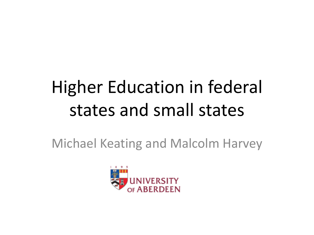# Higher Education in federal states and small states

Michael Keating and Malcolm Harvey

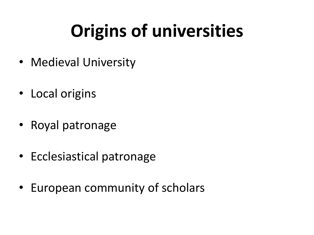# **Origins of universities**

- Medieval University
- Local origins
- Royal patronage
- Ecclesiastical patronage
- European community of scholars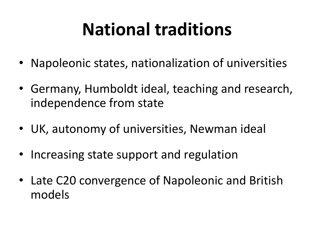## **National traditions**

- Napoleonic states, nationalization of universities
- Germany, Humboldt ideal, teaching and research, independence from state
- UK, autonomy of universities, Newman ideal
- Increasing state support and regulation
- Late C20 convergence of Napoleonic and British models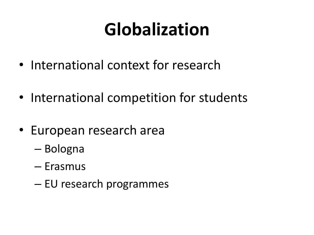## **Globalization**

- International context for research
- International competition for students
- European research area
	- Bologna
	- Erasmus
	- EU research programmes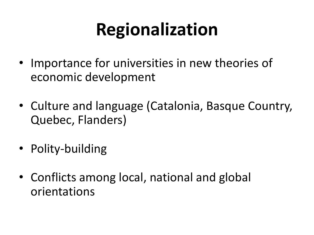# **Regionalization**

- Importance for universities in new theories of economic development
- Culture and language (Catalonia, Basque Country, Quebec, Flanders)
- Polity-building
- Conflicts among local, national and global orientations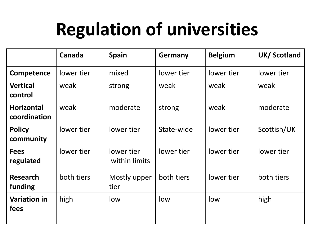## **Regulation of universities**

|                                   | Canada     | <b>Spain</b>                | Germany    | <b>Belgium</b> | UK/Scotland |
|-----------------------------------|------------|-----------------------------|------------|----------------|-------------|
| Competence                        | lower tier | mixed                       | lower tier | lower tier     | lower tier  |
| <b>Vertical</b><br>control        | weak       | strong                      | weak       | weak           | weak        |
| <b>Horizontal</b><br>coordination | weak       | moderate                    | strong     | weak           | moderate    |
| <b>Policy</b><br>community        | lower tier | lower tier                  | State-wide | lower tier     | Scottish/UK |
| <b>Fees</b><br>regulated          | lower tier | lower tier<br>within limits | lower tier | lower tier     | lower tier  |
| <b>Research</b><br>funding        | both tiers | Mostly upper<br>tier        | both tiers | lower tier     | both tiers  |
| <b>Variation in</b><br>fees       | high       | low                         | low        | low            | high        |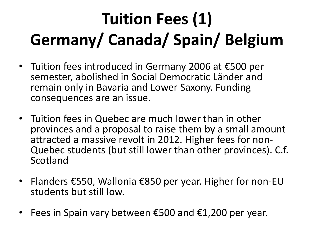# **Tuition Fees (1) Germany/ Canada/ Spain/ Belgium**

- Tuition fees introduced in Germany 2006 at €500 per semester, abolished in Social Democratic Länder and remain only in Bavaria and Lower Saxony. Funding consequences are an issue.
- Tuition fees in Quebec are much lower than in other provinces and a proposal to raise them by a small amount attracted a massive revolt in 2012. Higher fees for non-Quebec students (but still lower than other provinces). C.f. Scotland
- Flanders €550, Wallonia €850 per year. Higher for non-EU students but still low.
- Fees in Spain vary between  $\epsilon$ 500 and  $\epsilon$ 1,200 per year.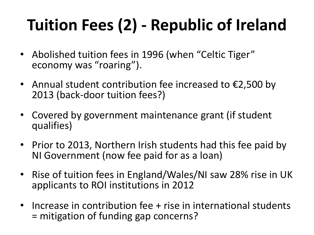#### **Tuition Fees (2) - Republic of Ireland**

- Abolished tuition fees in 1996 (when "Celtic Tiger" economy was "roaring").
- Annual student contribution fee increased to  $\epsilon$ 2,500 by 2013 (back-door tuition fees?)
- Covered by government maintenance grant (if student qualifies)
- Prior to 2013, Northern Irish students had this fee paid by NI Government (now fee paid for as a loan)
- Rise of tuition fees in England/Wales/NI saw 28% rise in UK applicants to ROI institutions in 2012
- Increase in contribution fee + rise in international students = mitigation of funding gap concerns?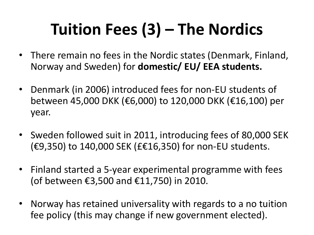#### **Tuition Fees (3) – The Nordics**

- There remain no fees in the Nordic states (Denmark, Finland, Norway and Sweden) for **domestic/ EU/ EEA students.**
- Denmark (in 2006) introduced fees for non-EU students of between 45,000 DKK (€6,000) to 120,000 DKK (€16,100) per year.
- Sweden followed suit in 2011, introducing fees of 80,000 SEK (€9,350) to 140,000 SEK (£€16,350) for non-EU students.
- Finland started a 5-year experimental programme with fees (of between €3,500 and €11,750) in 2010.
- Norway has retained universality with regards to a no tuition fee policy (this may change if new government elected).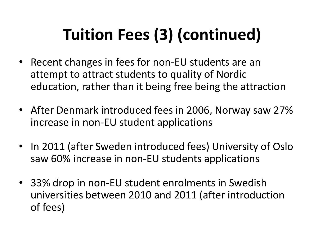#### **Tuition Fees (3) (continued)**

- Recent changes in fees for non-EU students are an attempt to attract students to quality of Nordic education, rather than it being free being the attraction
- After Denmark introduced fees in 2006, Norway saw 27% increase in non-EU student applications
- In 2011 (after Sweden introduced fees) University of Oslo saw 60% increase in non-EU students applications
- 33% drop in non-EU student enrolments in Swedish universities between 2010 and 2011 (after introduction of fees)